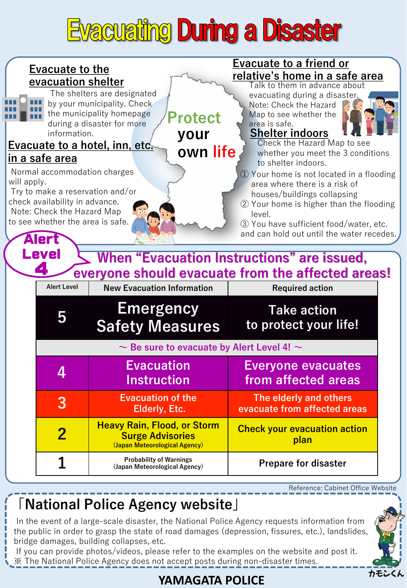## **Evacuating During a Disaster**





## **「National Police Agency website」**

In the event of a large-scale disaster, the National Police Agency requests information from the public in order to grasp the state of road damages (depression, fissures, etc.), landslides, bridge damages, building collapses, etc.

If you can provide photos/videos, please refer to the examples on the website and post it. ※ The National Police Agency does not accept posts during non-disaster times.

## **YAMAGATA POLICE**